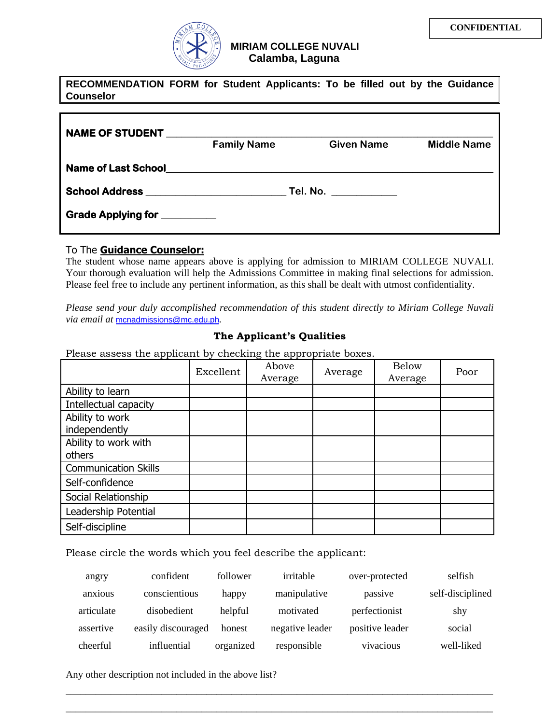

| <b>Counselor</b>             |                    | RECOMMENDATION FORM for Student Applicants: To be filled out by the Guidance |                    |
|------------------------------|--------------------|------------------------------------------------------------------------------|--------------------|
|                              |                    |                                                                              |                    |
| NAME OF STUDENT              |                    |                                                                              |                    |
|                              | <b>Family Name</b> | <b>Given Name</b>                                                            | <b>Middle Name</b> |
|                              |                    |                                                                              |                    |
|                              |                    |                                                                              |                    |
| Grade Applying for _________ |                    |                                                                              |                    |

## To The **Guidance Counselor:**

The student whose name appears above is applying for admission to MIRIAM COLLEGE NUVALI. Your thorough evaluation will help the Admissions Committee in making final selections for admission. Please feel free to include any pertinent information, as this shall be dealt with utmost confidentiality.

*Please send your duly accomplished recommendation of this student directly to Miriam College Nuvali via email at* mcnadmissions@mc.edu.ph*.*

## **The Applicant's Qualities**

Please assess the applicant by checking the appropriate boxes.

|                                  | Excellent | Above<br>Average | Average | <b>Below</b><br>Average | Poor |
|----------------------------------|-----------|------------------|---------|-------------------------|------|
| Ability to learn                 |           |                  |         |                         |      |
| Intellectual capacity            |           |                  |         |                         |      |
| Ability to work<br>independently |           |                  |         |                         |      |
| Ability to work with             |           |                  |         |                         |      |
| others                           |           |                  |         |                         |      |
| <b>Communication Skills</b>      |           |                  |         |                         |      |
| Self-confidence                  |           |                  |         |                         |      |
| Social Relationship              |           |                  |         |                         |      |
| Leadership Potential             |           |                  |         |                         |      |
| Self-discipline                  |           |                  |         |                         |      |

Please circle the words which you feel describe the applicant:

| angry      | confident          | follower  | irritable       | over-protected  | selfish          |
|------------|--------------------|-----------|-----------------|-----------------|------------------|
| anxious    | conscientious      | happy     | manipulative    | passive         | self-disciplined |
| articulate | disobedient        | helpful   | motivated       | perfectionist   | shy              |
| assertive  | easily discouraged | honest    | negative leader | positive leader | social           |
| cheerful   | influential        | organized | responsible     | vivacious       | well-liked       |

\_\_\_\_\_\_\_\_\_\_\_\_\_\_\_\_\_\_\_\_\_\_\_\_\_\_\_\_\_\_\_\_\_\_\_\_\_\_\_\_\_\_\_\_\_\_\_\_\_\_\_\_\_\_\_\_\_\_\_\_\_\_\_\_\_\_\_\_\_\_\_\_\_\_\_\_\_\_\_\_\_\_\_\_\_ \_\_\_\_\_\_\_\_\_\_\_\_\_\_\_\_\_\_\_\_\_\_\_\_\_\_\_\_\_\_\_\_\_\_\_\_\_\_\_\_\_\_\_\_\_\_\_\_\_\_\_\_\_\_\_\_\_\_\_\_\_\_\_\_\_\_\_\_\_\_\_\_\_\_\_\_\_\_\_\_\_\_\_\_\_

Any other description not included in the above list?